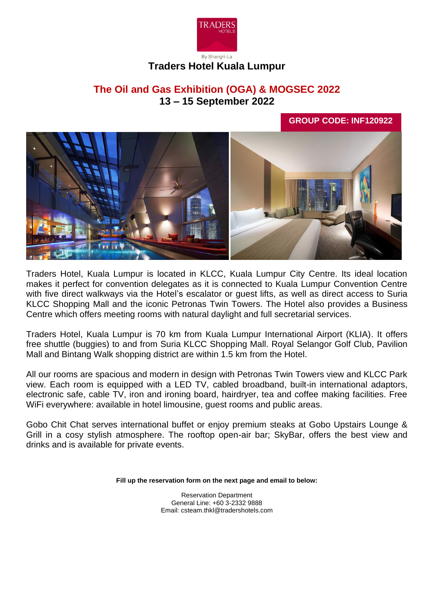

# **Traders Hotel Kuala Lumpur**

# **The Oil and Gas Exhibition (OGA) & MOGSEC 2022 13 – 15 September 2022**

**GROUP CODE: INF120922**



Traders Hotel, Kuala Lumpur is located in KLCC, Kuala Lumpur City Centre. Its ideal location makes it perfect for convention delegates as it is connected to Kuala Lumpur Convention Centre with five direct walkways via the Hotel's escalator or guest lifts, as well as direct access to Suria KLCC Shopping Mall and the iconic Petronas Twin Towers. The Hotel also provides a Business Centre which offers meeting rooms with natural daylight and full secretarial services.

Traders Hotel, Kuala Lumpur is 70 km from Kuala Lumpur International Airport (KLIA). It offers free shuttle (buggies) to and from Suria KLCC Shopping Mall. Royal Selangor Golf Club, Pavilion Mall and Bintang Walk shopping district are within 1.5 km from the Hotel.

All our rooms are spacious and modern in design with Petronas Twin Towers view and KLCC Park view. Each room is equipped with a LED TV, cabled broadband, built-in international adaptors, electronic safe, cable TV, iron and ironing board, hairdryer, tea and coffee making facilities. Free WiFi everywhere: available in hotel limousine, guest rooms and public areas.

Gobo Chit Chat serves international buffet or enjoy premium steaks at Gobo Upstairs Lounge & Grill in a cosy stylish atmosphere. The rooftop open-air bar; SkyBar, offers the best view and drinks and is available for private events.

**Fill up the reservation form on the next page and email to below:**

Reservation Department General Line: +60 3-2332 9888 Email: csteam.thkl@tradershotels.com